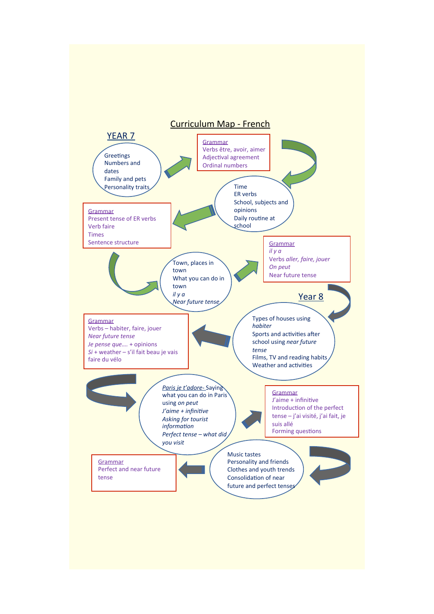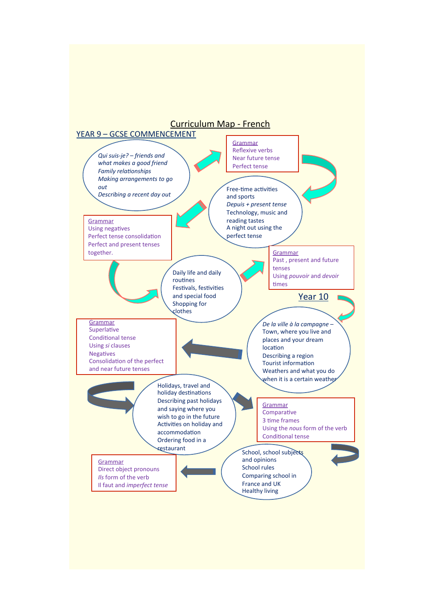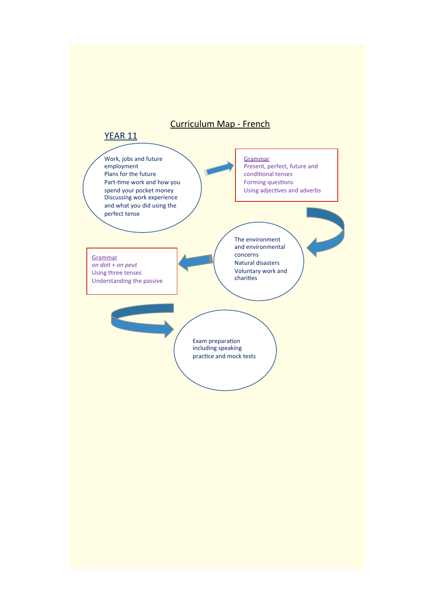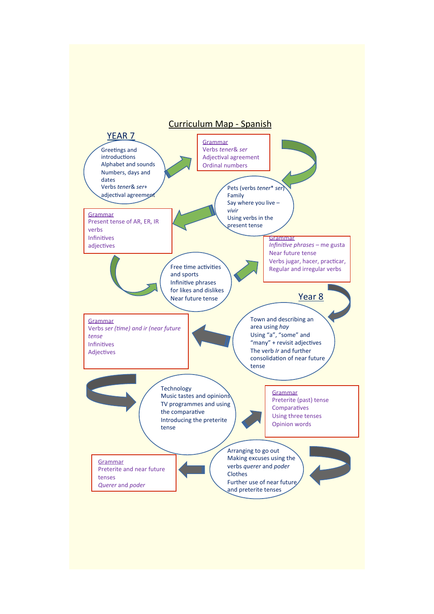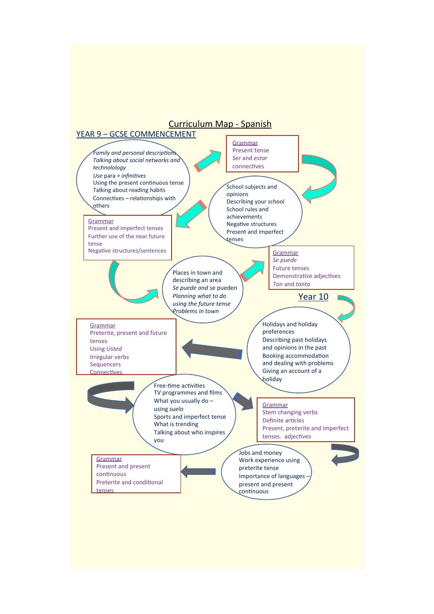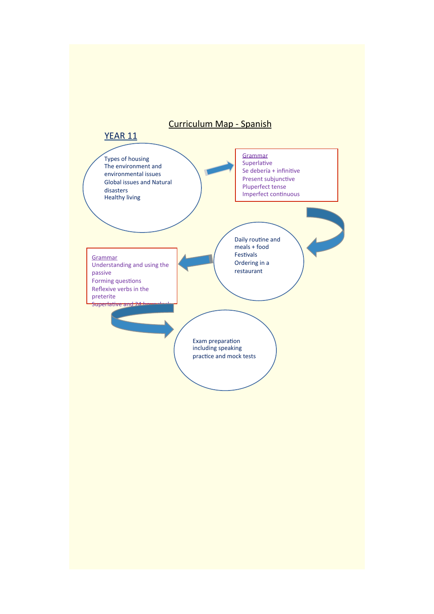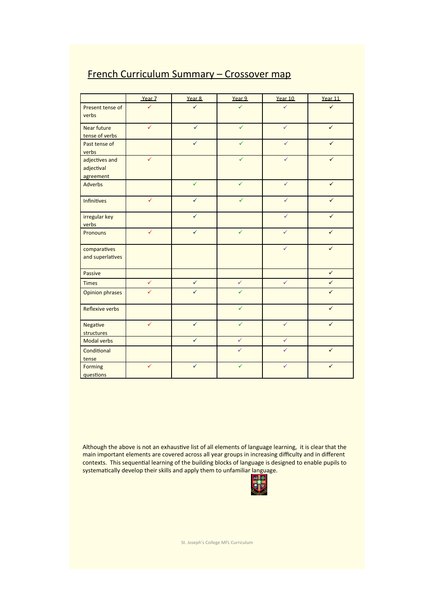## French Curriculum Summary - Crossover map

|                                           | Year 7       | Year 8                  | Year 9       | Year 10      | Year 11      |
|-------------------------------------------|--------------|-------------------------|--------------|--------------|--------------|
| Present tense of<br>verbs                 |              |                         |              |              |              |
| Near future<br>tense of verbs             | $\checkmark$ | $\checkmark$            | $\checkmark$ | $\checkmark$ | $\checkmark$ |
| Past tense of<br>verbs                    |              | $\checkmark$            | $\checkmark$ | $\checkmark$ | $\checkmark$ |
| adjectives and<br>adjectival<br>agreement | ✓            |                         | $\checkmark$ | $\checkmark$ | $\checkmark$ |
| Adverbs                                   |              | $\checkmark$            | ✓            | ✓            | $\checkmark$ |
| <b>Infinitives</b>                        | ✓            | $\checkmark$            | $\checkmark$ | ✓            | $\checkmark$ |
| irregular key<br>verbs                    |              | $\checkmark$            |              | $\checkmark$ | $\checkmark$ |
| Pronouns                                  | $\checkmark$ | $\checkmark$            | $\checkmark$ | $\checkmark$ | $\checkmark$ |
| comparatives<br>and superlatives          |              |                         |              | $\checkmark$ | $\checkmark$ |
| Passive                                   |              |                         |              |              | $\checkmark$ |
| <b>Times</b>                              | $\checkmark$ | $\overline{\checkmark}$ | $\checkmark$ | $\checkmark$ | $\checkmark$ |
| <b>Opinion phrases</b>                    | ✓            | $\checkmark$            | ✓            |              | ✓            |
| <b>Reflexive verbs</b>                    |              |                         | ✓            |              | $\checkmark$ |
| Negative<br>structures                    | $\checkmark$ | $\checkmark$            | ✓            | $\checkmark$ | $\checkmark$ |
| <b>Modal verbs</b>                        |              | $\checkmark$            | $\checkmark$ | $\checkmark$ |              |
| Conditional<br>tense                      |              |                         | $\checkmark$ | $\checkmark$ | $\checkmark$ |
| Forming<br>questions                      | $\checkmark$ | $\checkmark$            | $\checkmark$ | $\checkmark$ | $\checkmark$ |

Although the above is not an exhaustive list of all elements of language learning, it is clear that the main important elements are covered across all year groups in increasing difficulty and in different contexts. This sequential learning of the building blocks of language is designed to enable pupils to systematically develop their skills and apply them to unfamiliar language.



St. Joseph's College MFL Curriculum